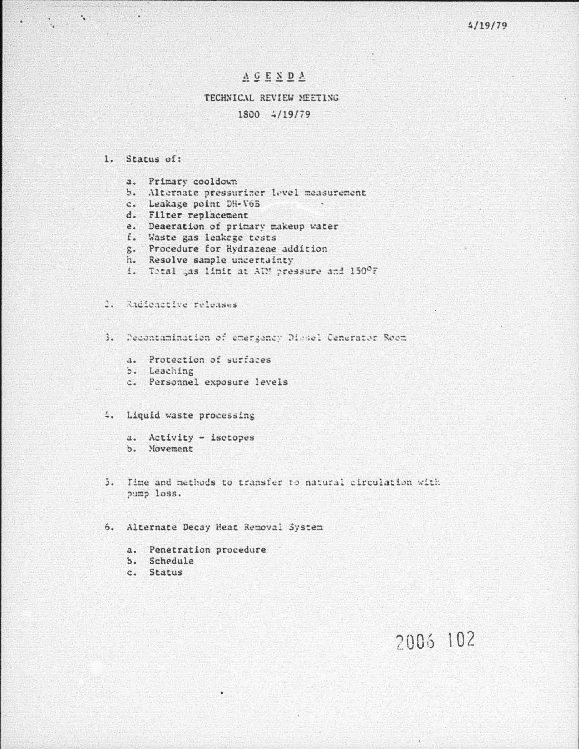$4/19/79$ 

## ACENDA

## TECHNICAL REVIEW MEETING 1800 4/19/79

 $\sim$ 

### 1. Status of:

¥

 $\label{eq:2.1} \mathcal{L}_{\mathcal{A}} = \mathcal{L}_{\mathcal{A}} + \mathcal{L}_{\mathcal{A}} + \mathcal{L}_{\mathcal{A}} + \mathcal{L}_{\mathcal{A}}$ 

- a. Primary cooldown
- b. Alternate pressuriner level measurement
- c. Leakage point DH-V6B
- d. Filter replacement
- e. Deaeration of primary makeup water
- f. Waste gas leakage tests
- g. Procedure for Hydrazene addition
- h. Resolve sample uncertainty
- 1. Total gas limit at AIM pressure and 150°F

### 2. Radioactive releases

- 3. Decontamination of emergency Diesel Cenerator Room
	- a. Protection of surfaces
	- b. Leaching
	- c. Personnel exposure levels

#### 4. Liquid waste processing

a. Activity - isotopes b. Movement

5. Time and methods to transfer to natural circulation with pump loss.

6. Alternate Decay Heat Removal System

- a. Penetration procedure
- b. Schedule
- c. Status

# 2006 102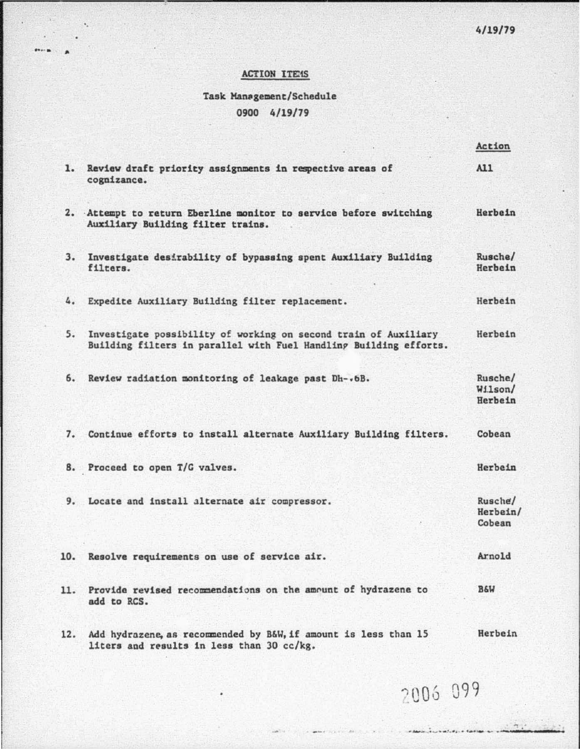## ACTION ITEMS

 $\epsilon$ 

# Task Management/Schedule 0900 4/19/79

|     |                                                                                                                                      | Action                        |
|-----|--------------------------------------------------------------------------------------------------------------------------------------|-------------------------------|
|     | 1. Review draft priority assignments in respective areas of<br>cognizance.                                                           | A11                           |
|     | 2. Attempt to return Eberline monitor to service before switching<br>Auxiliary Building filter trains.                               | Herbein                       |
| 3.  | Investigate desirability of bypassing spent Auxiliary Building<br>filters.                                                           | Rusche/<br>Herbein            |
|     | 4. Expedite Auxiliary Building filter replacement.                                                                                   | Herbein                       |
| 5.  | Investigate possibility of working on second train of Auxiliary<br>Building filters in parallel with Fuel Handling Building efforts. | Herbein                       |
| 6.  | Review radiation monitoring of leakage past Dh-.6B.                                                                                  | Rusche/<br>W11son/<br>Herbein |
|     | 7. Continue efforts to install alternate Auxiliary Building filters.                                                                 | Cobean                        |
|     | 8. Proceed to open T/G valves.                                                                                                       | Herbein                       |
|     | 9. Locate and install alternate air compressor.                                                                                      | Rusche/<br>Herbein/<br>Cobean |
|     | 10. Resolve requirements on use of service air.                                                                                      | Arnold                        |
| 11. | Provide revised recommendations on the amount of hydrazene to<br>add to RCS.                                                         | <b>B&amp;W</b>                |
| 12. | Add hydrazene, as recommended by B&W, if amount is less than 15<br>liters and results in less than 30 cc/kg.                         | Herbein                       |

2006 099

in the individual day of the first

 $\tau$  .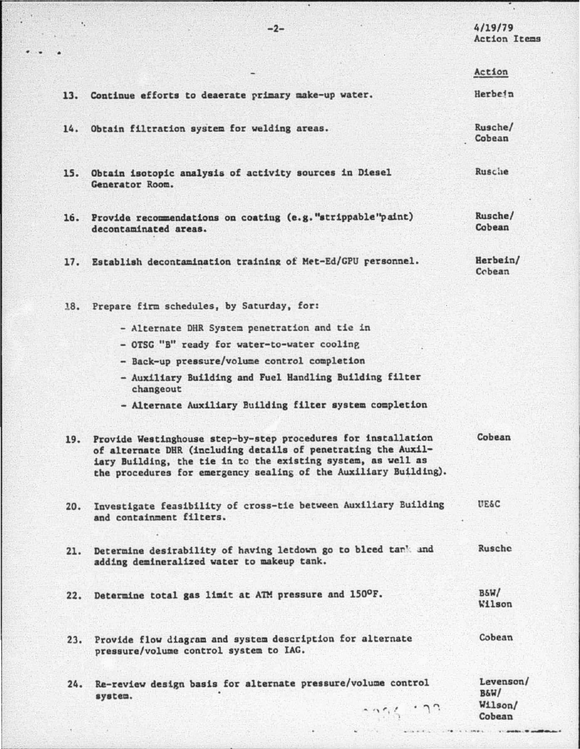$4/19/79$ **Action Items** 

Action

13. Continue efforts to deaerate primary make-up water. Herbein

- 14. Obtain filtration system for welding areas.
- 15. Obtain isotopic analysis of activity sources in Diesel Generator Room.
- 16. Provide recommendations on coating (e.g. "strippable"paint) decontaminated areas.

Rusche/ Cobean

Rusche/ Cobean

Rusche

Herbein/ 17. Establish decontamination training of Met-Ed/GPU personnel. Cobean

18. Prepare firm schedules, by Saturday, for:

- Alternate DHR System penetration and tie in
- OTSG "B" ready for water-to-water cooling
- Back-up pressure/volume control completion
- Auxiliary Building and Fuel Handling Building filter changeout
- Alternate Auxiliary Building filter system completion
- Cobean 19. Provide Westinghouse step-by-step procedures for installation of alternate DHR (including details of penetrating the Auxiliary Building, the tie in to the existing system, as well as the procedures for emergency sealing of the Auxiliary Building).
- Investigate feasibility of cross-tie between Auxiliary Building UE&C  $20.$ and containment filters.
- Rusche Determine desirability of having letdown go to bleed tan' and  $21.$ adding demineralized water to makeup tank.
- 22. Determine total gas limit at ATM pressure and 150°F.
- Cobean 23. Provide flow diagram and system description for alternate pressure/volume control system to IAG.
- 24. Re-review design basis for alternate pressure/volume control  $B6W/$ system.

 $-256 - 22$ 

Levenson/ Wilson/

Cobean

BSW/

Wilson

 $-2-$